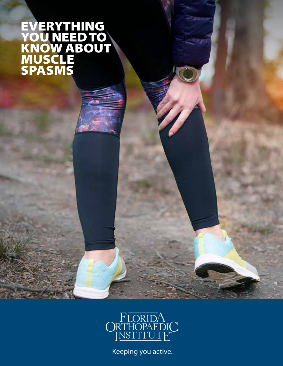#### EVERYTHING YOU NEED TO KNOW ABOUT MUSCLE SPASMS



Keeping you active.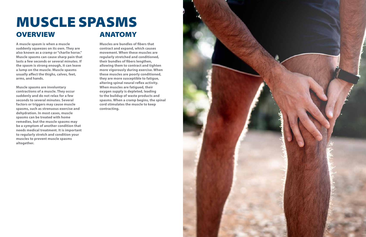**A muscle spasm is when a muscle suddenly squeezes on its own. They are also known as a cramp or "charlie horse." Muscle spasms can cause sharp pain that lasts a few seconds or several minutes. If the spasm is strong enough, it can leave a lump on the muscle. Muscle spasms usually affect the thighs, calves, feet, arms, and hands.**

**Muscle spasms are involuntary contractions of a muscle. They occur suddenly and do not relax for a few seconds to several minutes. Several factors or triggers may cause muscle spasms, such as strenuous exercise and dehydration. In most cases, muscle spasms can be treated with home remedies, but the muscle spasms may be a symptom of another condition that needs medical treatment. It is important to regularly stretch and condition your muscles to prevent muscle spasms altogether.**

## MUSCLE SPASMS OVERVIEW ANATOMY

**Muscles are bundles of fibers that contract and expand, which causes movement. When these muscles are regularly stretched and conditioned, their bundles of fibers lengthen, allowing them to contract and tighten more vigorously during exercise. When these muscles are poorly conditioned, they are more susceptible to fatigue, altering spinal neural reflex activity. When muscles are fatigued, their oxygen supply is depleted, leading to the buildup of waste products and spasms. When a cramp begins, the spinal cord stimulates the muscle to keep contracting.**

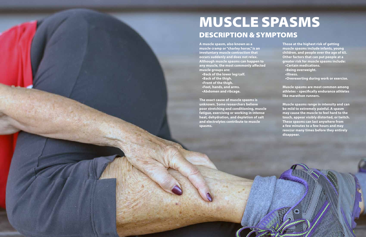**A muscle spasm, also known as a muscle cramp or "charley horse," is an involuntary muscle contraction that occurs suddenly and does not relax. Although muscle spasms can happen to any muscle, the most commonly affected muscle groups are:**

**•Back of the lower leg/calf. •Back of the thigh. •Front of the thigh. •Feet, hands, and arms. •Abdomen and ribcage.**

**The exact cause of muscle spasms is unknown. Some researchers believe poor stretching and conditioning, muscle fatigue, exercising or working in intense heat, dehydration, and depletion of salt and electrolytes contribute to muscle spasms.**

# DESCRIPTION & SYMPTOMS MUSCLE SPASMS

**Those at the highest risk of getting muscle spasms include infants, young children, and people over the age of 65. Other factors that can put people at a greater risk for muscle spasms include:**

- **•Certain medications.**
- **•Being overweight.**
- **•Illness.**
- **•Overexerting during work or exercise.**

**Muscle spasms are most common among athletes – specifically endurance athletes like marathon runners.**

**Muscle spasms range in intensity and can be mild to extremely painful. A spasm may cause the muscle to feel hard to the touch, appear visibly distorted, or twitch. These spasms can last anywhere from a few minutes to a few hours and may reoccur many times before they entirely disappear.**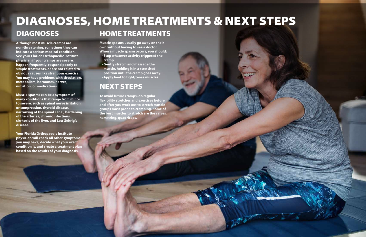**Although most muscle cramps are non-threatening, sometimes they can indicate a serious medical condition. See your Florida Orthopaedic Institute physician if your cramps are severe, happen frequently, respond poorly to simple treatments, or are not related to obvious causes like strenuous exercise. You may have problems with circulation, metabolism, hormones, nerves, nutrition, or medications.**

### DIAGNOSES, HOME TREATMENTS & NEXT STEPS DIAGNOSES HOME TREATMENTS

**Muscle spasms can be a symptom of many conditions that range from minor to severe, such as spinal nerve irritation or compression, thyroid disease, narrowing of the spinal canal, hardening of the arteries, chronic infections, cirrhosis of the liver, and Lou Gehrig's disease.**

**Your Florida Orthopaedic Institute physician will check all other symptoms you may have, decide what your exact condition is, and create a treatment plan based on the results of your diagnosis.**

**Muscle spasms usually go away on their own without having to see a doctor. When a muscle spasm occurs, you should:**

- **•Stop whatever activity triggered the cramp.**
- **•Gently stretch and massage the muscle, holding it in a stretched position until the cramp goes away. •Apply heat to tight/tense muscles.**

**To avoid future cramps, do regular flexibility stretches and exercises before and after you work out to stretch muscle groups most prone to cramping. Some of the best muscles to stretch are the calves, hamstring, quadriceps.**



### NEXT STEPS